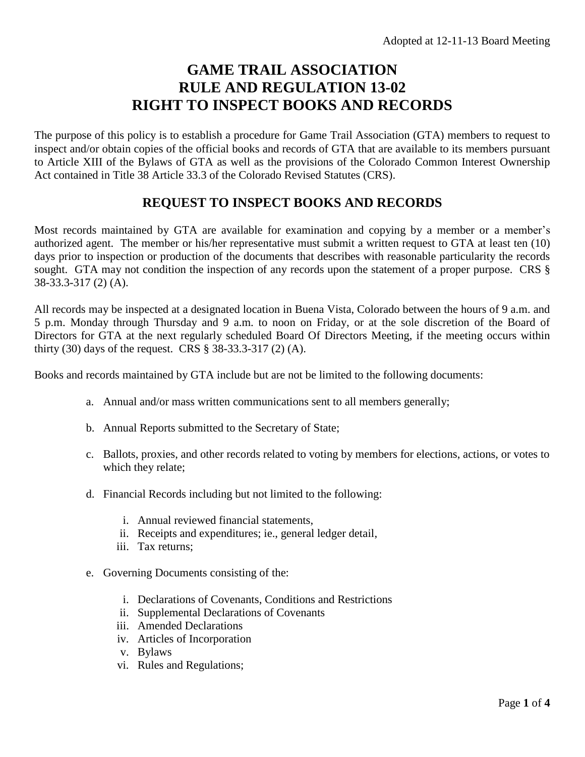## **GAME TRAIL ASSOCIATION RULE AND REGULATION 13-02 RIGHT TO INSPECT BOOKS AND RECORDS**

The purpose of this policy is to establish a procedure for Game Trail Association (GTA) members to request to inspect and/or obtain copies of the official books and records of GTA that are available to its members pursuant to Article XIII of the Bylaws of GTA as well as the provisions of the Colorado Common Interest Ownership Act contained in Title 38 Article 33.3 of the Colorado Revised Statutes (CRS).

## **REQUEST TO INSPECT BOOKS AND RECORDS**

Most records maintained by GTA are available for examination and copying by a member or a member's authorized agent. The member or his/her representative must submit a written request to GTA at least ten (10) days prior to inspection or production of the documents that describes with reasonable particularity the records sought. GTA may not condition the inspection of any records upon the statement of a proper purpose. CRS § 38-33.3-317 (2) (A).

All records may be inspected at a designated location in Buena Vista, Colorado between the hours of 9 a.m. and 5 p.m. Monday through Thursday and 9 a.m. to noon on Friday, or at the sole discretion of the Board of Directors for GTA at the next regularly scheduled Board Of Directors Meeting, if the meeting occurs within thirty (30) days of the request. CRS § 38-33.3-317 (2) (A).

Books and records maintained by GTA include but are not be limited to the following documents:

- a. Annual and/or mass written communications sent to all members generally;
- b. Annual Reports submitted to the Secretary of State;
- c. Ballots, proxies, and other records related to voting by members for elections, actions, or votes to which they relate;
- d. Financial Records including but not limited to the following:
	- i. Annual reviewed financial statements,
	- ii. Receipts and expenditures; ie., general ledger detail,
	- iii. Tax returns;
- e. Governing Documents consisting of the:
	- i. Declarations of Covenants, Conditions and Restrictions
	- ii. Supplemental Declarations of Covenants
	- iii. Amended Declarations
	- iv. Articles of Incorporation
	- v. Bylaws
	- vi. Rules and Regulations;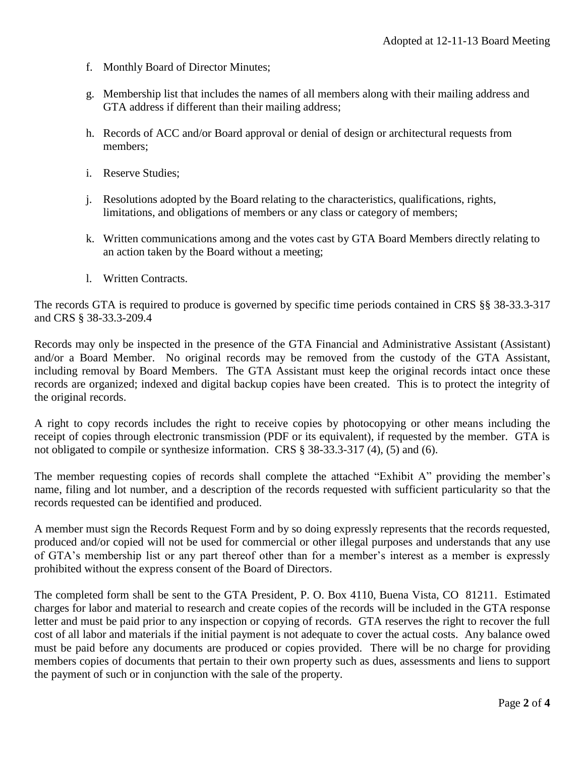- f. Monthly Board of Director Minutes;
- g. Membership list that includes the names of all members along with their mailing address and GTA address if different than their mailing address;
- h. Records of ACC and/or Board approval or denial of design or architectural requests from members;
- i. Reserve Studies;
- j. Resolutions adopted by the Board relating to the characteristics, qualifications, rights, limitations, and obligations of members or any class or category of members;
- k. Written communications among and the votes cast by GTA Board Members directly relating to an action taken by the Board without a meeting;
- l. Written Contracts.

The records GTA is required to produce is governed by specific time periods contained in CRS §§ 38-33.3-317 and CRS § 38-33.3-209.4

Records may only be inspected in the presence of the GTA Financial and Administrative Assistant (Assistant) and/or a Board Member. No original records may be removed from the custody of the GTA Assistant, including removal by Board Members. The GTA Assistant must keep the original records intact once these records are organized; indexed and digital backup copies have been created. This is to protect the integrity of the original records.

A right to copy records includes the right to receive copies by photocopying or other means including the receipt of copies through electronic transmission (PDF or its equivalent), if requested by the member. GTA is not obligated to compile or synthesize information. CRS § 38-33.3-317 (4), (5) and (6).

The member requesting copies of records shall complete the attached "Exhibit A" providing the member's name, filing and lot number, and a description of the records requested with sufficient particularity so that the records requested can be identified and produced.

A member must sign the Records Request Form and by so doing expressly represents that the records requested, produced and/or copied will not be used for commercial or other illegal purposes and understands that any use of GTA's membership list or any part thereof other than for a member's interest as a member is expressly prohibited without the express consent of the Board of Directors.

The completed form shall be sent to the GTA President, P. O. Box 4110, Buena Vista, CO 81211. Estimated charges for labor and material to research and create copies of the records will be included in the GTA response letter and must be paid prior to any inspection or copying of records. GTA reserves the right to recover the full cost of all labor and materials if the initial payment is not adequate to cover the actual costs. Any balance owed must be paid before any documents are produced or copies provided. There will be no charge for providing members copies of documents that pertain to their own property such as dues, assessments and liens to support the payment of such or in conjunction with the sale of the property.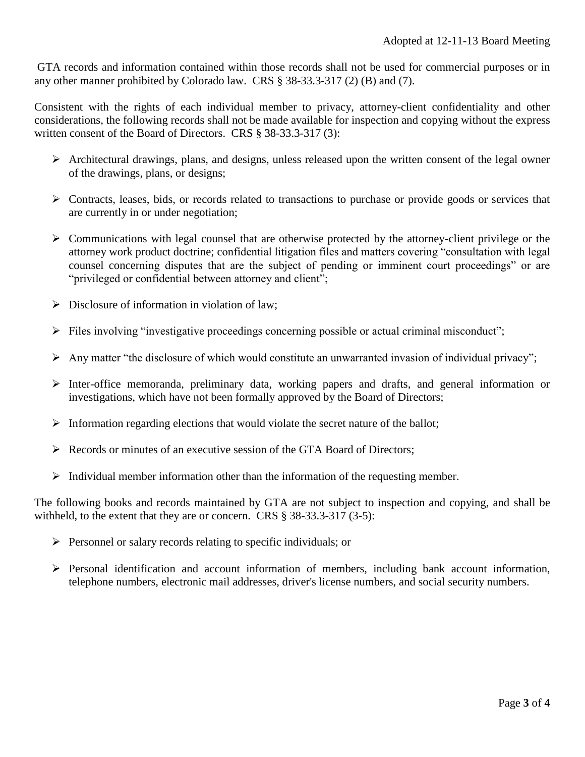GTA records and information contained within those records shall not be used for commercial purposes or in any other manner prohibited by Colorado law. CRS § 38-33.3-317 (2) (B) and (7).

Consistent with the rights of each individual member to privacy, attorney-client confidentiality and other considerations, the following records shall not be made available for inspection and copying without the express written consent of the Board of Directors. CRS § 38-33.3-317 (3):

- $\triangleright$  Architectural drawings, plans, and designs, unless released upon the written consent of the legal owner of the drawings, plans, or designs;
- $\triangleright$  Contracts, leases, bids, or records related to transactions to purchase or provide goods or services that are currently in or under negotiation;
- $\triangleright$  Communications with legal counsel that are otherwise protected by the attorney-client privilege or the attorney work product doctrine; confidential litigation files and matters covering "consultation with legal counsel concerning disputes that are the subject of pending or imminent court proceedings" or are "privileged or confidential between attorney and client";
- $\triangleright$  Disclosure of information in violation of law:
- $\triangleright$  Files involving "investigative proceedings concerning possible or actual criminal misconduct";
- $\triangleright$  Any matter "the disclosure of which would constitute an unwarranted invasion of individual privacy";
- Inter-office memoranda, preliminary data, working papers and drafts, and general information or investigations, which have not been formally approved by the Board of Directors;
- $\triangleright$  Information regarding elections that would violate the secret nature of the ballot;
- Records or minutes of an executive session of the GTA Board of Directors;
- $\triangleright$  Individual member information other than the information of the requesting member.

The following books and records maintained by GTA are not subject to inspection and copying, and shall be withheld, to the extent that they are or concern. CRS § 38-33.3-317 (3-5):

- $\triangleright$  Personnel or salary records relating to specific individuals; or
- Personal identification and account information of members, including bank account information, telephone numbers, electronic mail addresses, driver's license numbers, and social security numbers.